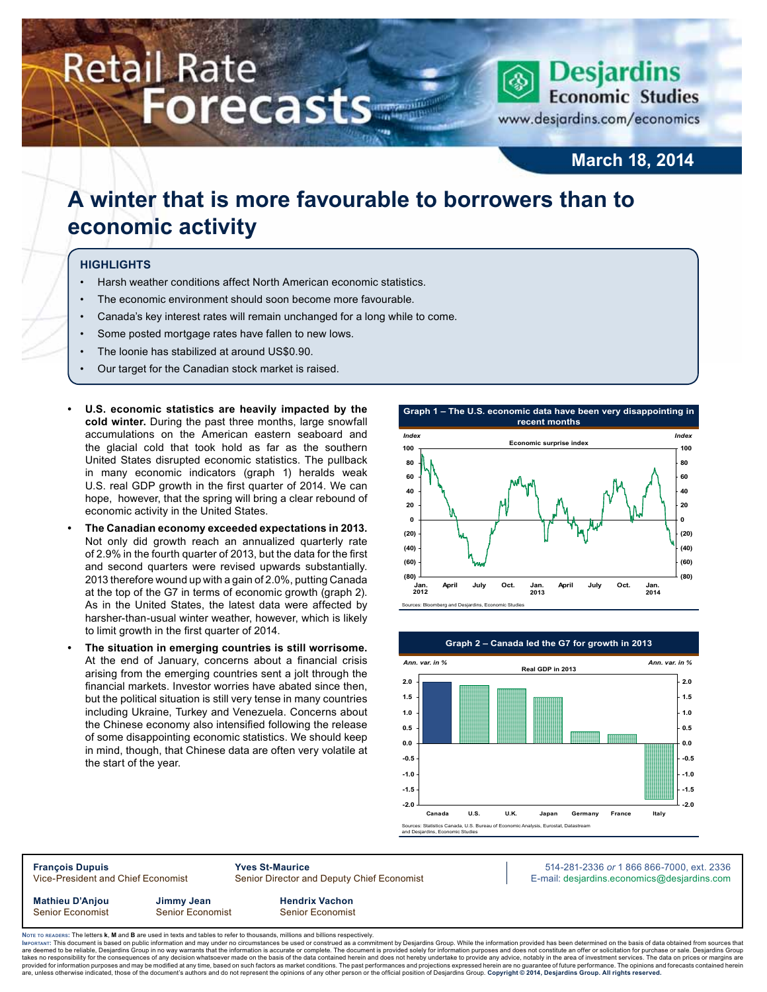# **Retail Rate Forecasts**



**March 18, 2014**

# **A winter that is more favourable to borrowers than to economic activity**

### **Highlights**

- Harsh weather conditions affect North American economic statistics.
- The economic environment should soon become more favourable.
- Canada's key interest rates will remain unchanged for a long while to come.
- Some posted mortgage rates have fallen to new lows.
- The loonie has stabilized at around US\$0.90.
- Our target for the Canadian stock market is raised.
- **U.S.** economic statistics are heavily impacted by the **cold winter.** During the past three months, large snowfall accumulations on the American eastern seaboard and the glacial cold that took hold as far as the southern United States disrupted economic statistics. The pullback in many economic indicators (graph 1) heralds weak U.S. real GDP growth in the first quarter of 2014. We can hope, however, that the spring will bring a clear rebound of economic activity in the United States.
- **• The Canadian economy exceeded expectations in 2013.**  Not only did growth reach an annualized quarterly rate of 2.9% in the fourth quarter of 2013, but the data for the first and second quarters were revised upwards substantially. 2013 therefore wound up with a gain of 2.0%, putting Canada at the top of the G7 in terms of economic growth (graph 2). As in the United States, the latest data were affected by harsher-than-usual winter weather, however, which is likely to limit growth in the first quarter of 2014.
- The situation in emerging countries is still worrisome. At the end of January, concerns about a financial crisis arising from the emerging countries sent a jolt through the financial markets. Investor worries have abated since then, but the political situation is still very tense in many countries including Ukraine, Turkey and Venezuela. Concerns about the Chinese economy also intensified following the release of some disappointing economic statistics. We should keep in mind, though, that Chinese data are often very volatile at the start of the year.





**François Dupuis Yves St-Maurice** 514-281-2336 *or* 1 866 866-7000, ext. 2336 Vice-President and Chief Economist Senior Director and Deputy Chief Economist E-mail: desjardins.economics@desjardins.com

**Mathieu D'Anjou Jimmy Jean Hendrix Vachon** Senior Economist Senior Economist Senior Economist

Noте то келоекs: The letters **k, M** and **B** are used in texts and tables to refer to thousands, millions and billions respectively.<br>Імроктлит: This document is based on public information and may under no circumstances be are deemed to be reliable, Desjardins Group in no way warrants that the information is accurate or complete. The document is provided solely for information purposes and does not constitute an offer or solicitation for pur takes no responsibility for the consequences of any decision whatsoever made on the basis of the data contained herein and does not hereby undertake to provide any advice, notably in the area of investment services. The da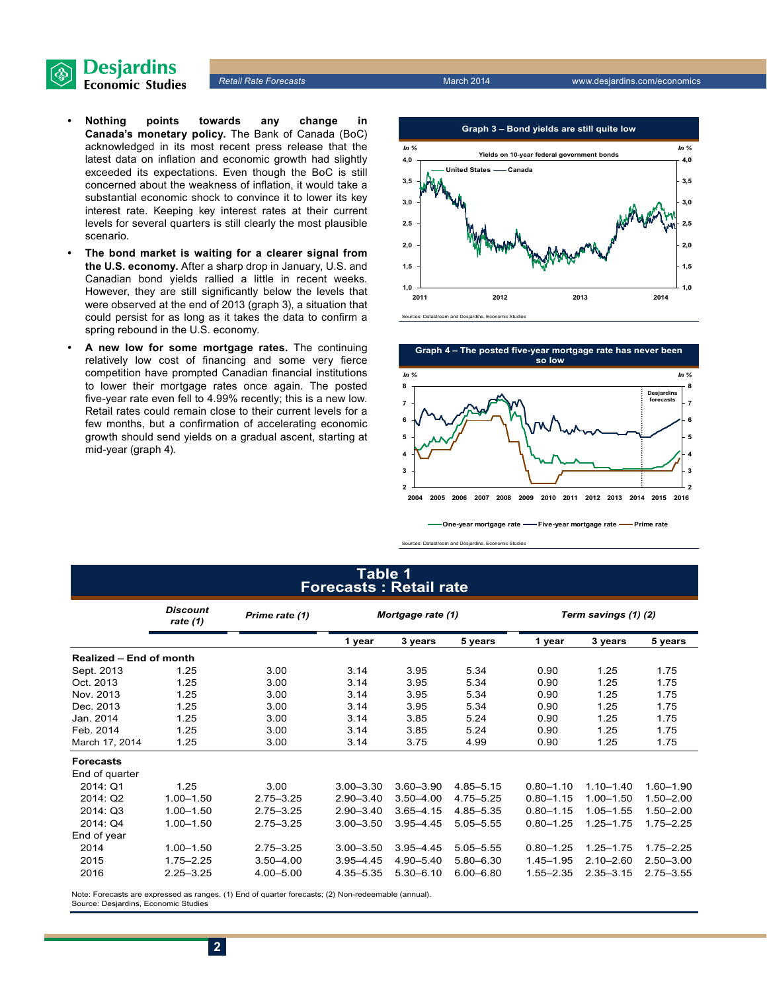

- **• Nothing points towards any change in Canada's monetary policy.** The Bank of Canada (BoC) acknowledged in its most recent press release that the latest data on inflation and economic growth had slightly exceeded its expectations. Even though the BoC is still concerned about the weakness of inflation, it would take a substantial economic shock to convince it to lower its key interest rate. Keeping key interest rates at their current levels for several quarters is still clearly the most plausible scenario.
- The bond market is waiting for a clearer signal from **the U.S. economy.** After a sharp drop in January, U.S. and Canadian bond yields rallied a little in recent weeks. However, they are still significantly below the levels that were observed at the end of 2013 (graph 3), a situation that could persist for as long as it takes the data to confirm a spring rebound in the U.S. economy.
- A new low for some mortgage rates. The continuing relatively low cost of financing and some very fierce competition have prompted Canadian financial institutions to lower their mortgage rates once again. The posted five-year rate even fell to 4.99% recently; this is a new low. Retail rates could remain close to their current levels for a few months, but a confirmation of accelerating economic growth should send yields on a gradual ascent, starting at mid-year (graph 4).





**One-year mortgage rate Five-year mortgage rate Prime rate**

Sources: Datastream and Desjardins, Economic Studies

### **Table 1 Forecasts : Retail rate**

|                                | <b>Discount</b><br>rate $(1)$ | Prime rate (1) | Mortgage rate (1) |               | Term savings (1) (2) |               |               |               |
|--------------------------------|-------------------------------|----------------|-------------------|---------------|----------------------|---------------|---------------|---------------|
|                                |                               |                | 1 year            | 3 years       | 5 years              | 1 year        | 3 years       | 5 years       |
| <b>Realized - End of month</b> |                               |                |                   |               |                      |               |               |               |
| Sept. 2013                     | 1.25                          | 3.00           | 3.14              | 3.95          | 5.34                 | 0.90          | 1.25          | 1.75          |
| Oct. 2013                      | 1.25                          | 3.00           | 3.14              | 3.95          | 5.34                 | 0.90          | 1.25          | 1.75          |
| Nov. 2013                      | 1.25                          | 3.00           | 3.14              | 3.95          | 5.34                 | 0.90          | 1.25          | 1.75          |
| Dec. 2013                      | 1.25                          | 3.00           | 3.14              | 3.95          | 5.34                 | 0.90          | 1.25          | 1.75          |
| Jan. 2014                      | 1.25                          | 3.00           | 3.14              | 3.85          | 5.24                 | 0.90          | 1.25          | 1.75          |
| Feb. 2014                      | 1.25                          | 3.00           | 3.14              | 3.85          | 5.24                 | 0.90          | 1.25          | 1.75          |
| March 17, 2014                 | 1.25                          | 3.00           | 3.14              | 3.75          | 4.99                 | 0.90          | 1.25          | 1.75          |
| <b>Forecasts</b>               |                               |                |                   |               |                      |               |               |               |
| End of quarter                 |                               |                |                   |               |                      |               |               |               |
| 2014: Q1                       | 1.25                          | 3.00           | $3.00 - 3.30$     | $3.60 - 3.90$ | 4.85-5.15            | $0.80 - 1.10$ | $1.10 - 1.40$ | $1.60 - 1.90$ |
| 2014: Q2                       | $1.00 - 1.50$                 | $2.75 - 3.25$  | $2.90 - 3.40$     | $3.50 - 4.00$ | 4.75 - 5.25          | $0.80 - 1.15$ | $1.00 - 1.50$ | $1.50 - 2.00$ |
| 2014: Q3                       | $1.00 - 1.50$                 | $2.75 - 3.25$  | $2.90 - 3.40$     | $3.65 - 4.15$ | 4.85-5.35            | $0.80 - 1.15$ | $1.05 - 1.55$ | $1.50 - 2.00$ |
| 2014: Q4                       | $1.00 - 1.50$                 | $2.75 - 3.25$  | $3.00 - 3.50$     | $3.95 - 4.45$ | $5.05 - 5.55$        | $0.80 - 1.25$ | $1.25 - 1.75$ | $1.75 - 2.25$ |
| End of year                    |                               |                |                   |               |                      |               |               |               |
| 2014                           | $1.00 - 1.50$                 | $2.75 - 3.25$  | $3.00 - 3.50$     | $3.95 - 4.45$ | $5.05 - 5.55$        | $0.80 - 1.25$ | $1.25 - 1.75$ | $1.75 - 2.25$ |
| 2015                           | $1.75 - 2.25$                 | $3.50 - 4.00$  | $3.95 - 4.45$     | $4.90 - 5.40$ | $5.80 - 6.30$        | $1.45 - 1.95$ | $2.10 - 2.60$ | $2.50 - 3.00$ |
| 2016                           | $2.25 - 3.25$                 | $4.00 - 5.00$  | 4.35 - 5.35       | $5.30 - 6.10$ | $6.00 - 6.80$        | $1.55 - 2.35$ | $2.35 - 3.15$ | $2.75 - 3.55$ |

Note: Forecasts are expressed as ranges. (1) End of quarter forecasts; (2) Non-redeemable (annual). Source: Desjardins, Economic Studies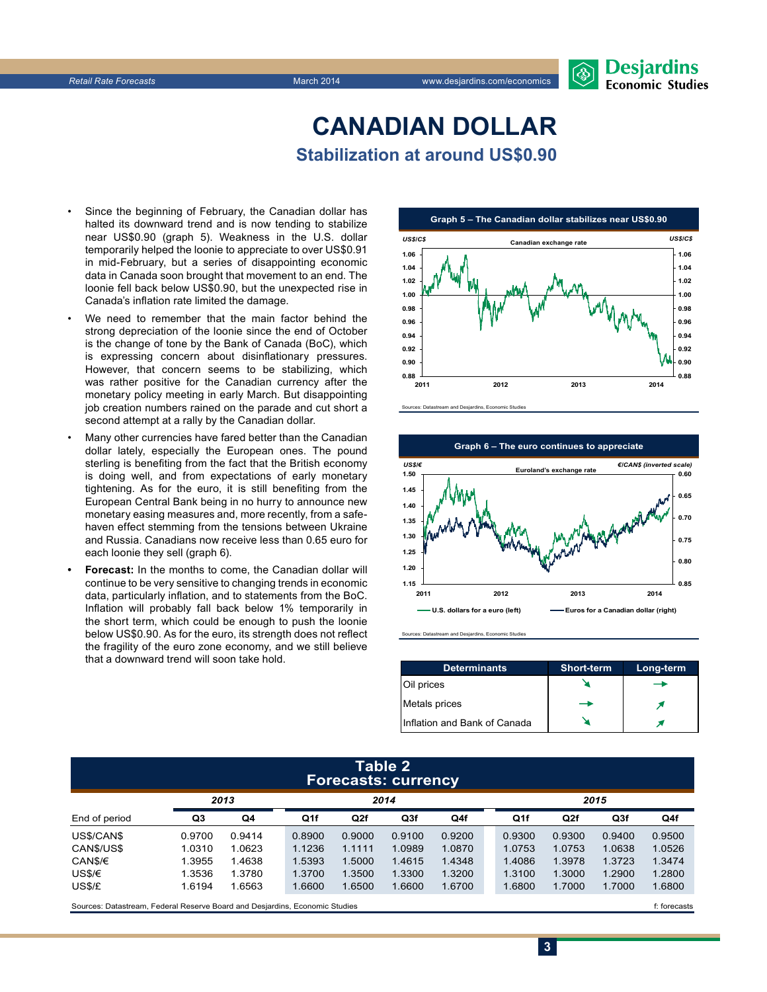# **CanadiAn Dollar Stabilization at around US\$0.90**

- Since the beginning of February, the Canadian dollar has halted its downward trend and is now tending to stabilize near US\$0.90 (graph 5). Weakness in the U.S. dollar temporarily helped the loonie to appreciate to over US\$0.91 in mid-February, but a series of disappointing economic data in Canada soon brought that movement to an end. The loonie fell back below US\$0.90, but the unexpected rise in Canada's inflation rate limited the damage.
- We need to remember that the main factor behind the strong depreciation of the loonie since the end of October is the change of tone by the Bank of Canada (BoC), which is expressing concern about disinflationary pressures. However, that concern seems to be stabilizing, which was rather positive for the Canadian currency after the monetary policy meeting in early March. But disappointing job creation numbers rained on the parade and cut short a second attempt at a rally by the Canadian dollar.
- Many other currencies have fared better than the Canadian dollar lately, especially the European ones. The pound sterling is benefiting from the fact that the British economy is doing well, and from expectations of early monetary tightening. As for the euro, it is still benefiting from the European Central Bank being in no hurry to announce new monetary easing measures and, more recently, from a safehaven effect stemming from the tensions between Ukraine and Russia. Canadians now receive less than 0.65 euro for each loonie they sell (graph 6).
- **Forecast:** In the months to come, the Canadian dollar will continue to be very sensitive to changing trends in economic data, particularly inflation, and to statements from the BoC. Inflation will probably fall back below 1% temporarily in the short term, which could be enough to push the loonie below US\$0.90. As for the euro, its strength does not reflect the fragility of the euro zone economy, and we still believe that a downward trend will soon take hold.







Sources: Datastream and Desjardins, Economic Studies

| <b>Determinants</b>          | <b>Short-term</b> | Long-term |
|------------------------------|-------------------|-----------|
| Oil prices                   |                   |           |
| Metals prices                |                   |           |
| Inflation and Bank of Canada |                   |           |

### **Table 2 Forecasts: currency**

|                                                                             | 2013   |        | 2014   |        |        |        |  | 2015   |                 |                 |        |
|-----------------------------------------------------------------------------|--------|--------|--------|--------|--------|--------|--|--------|-----------------|-----------------|--------|
| End of period                                                               | Q3     | Q4     | Q1f    | Q2f    | Q3f    | Q4f    |  | Q1f    | Q <sub>2f</sub> | Q <sub>3f</sub> | Q4f    |
| US\$/CAN\$                                                                  | 0.9700 | 0.9414 | 0.8900 | 0.9000 | 0.9100 | 0.9200 |  | 0.9300 | 0.9300          | 0.9400          | 0.9500 |
| CAN\$/US\$                                                                  | 1.0310 | 1.0623 | 1.1236 | 1.1111 | 1.0989 | 1.0870 |  | 1.0753 | 1.0753          | 1.0638          | 1.0526 |
| CAN\$/€                                                                     | 1.3955 | 1.4638 | 1.5393 | 1.5000 | 1.4615 | 1.4348 |  | 1.4086 | 1.3978          | 1.3723          | 1.3474 |
| US\$/€                                                                      | 1.3536 | 1.3780 | 1.3700 | 1.3500 | 1.3300 | 1.3200 |  | 1.3100 | 1.3000          | 1.2900          | 1.2800 |
| US\$/£                                                                      | 1.6194 | 1.6563 | 1.6600 | 1.6500 | 1.6600 | 1.6700 |  | 1.6800 | 1.7000          | 1.7000          | 1.6800 |
| Sources: Datastream, Federal Reserve Board and Desjardins, Economic Studies |        |        |        |        |        |        |  |        | f: forecasts    |                 |        |

**3**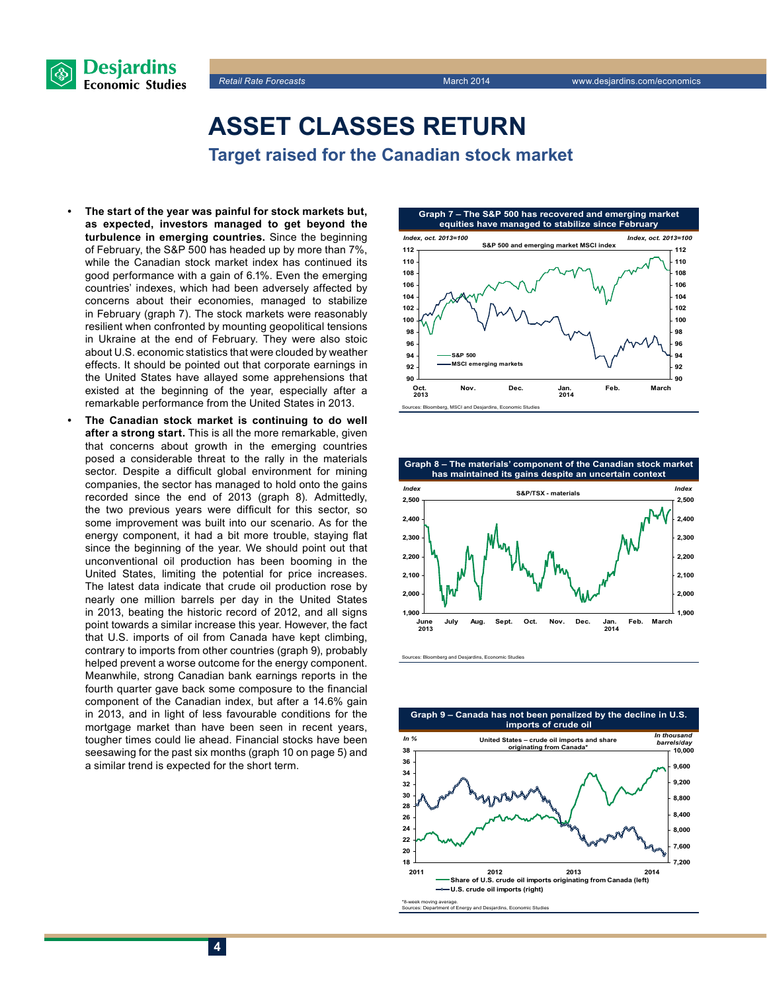



**Asset classes return Target raised for the Canadian stock market**

- The start of the year was painful for stock markets but, **as expected, investors managed to get beyond the turbulence in emerging countries.** Since the beginning of February, the S&P 500 has headed up by more than 7%, while the Canadian stock market index has continued its good performance with a gain of 6.1%. Even the emerging countries' indexes, which had been adversely affected by concerns about their economies, managed to stabilize in February (graph 7). The stock markets were reasonably resilient when confronted by mounting geopolitical tensions in Ukraine at the end of February. They were also stoic about U.S. economic statistics that were clouded by weather effects. It should be pointed out that corporate earnings in the United States have allayed some apprehensions that existed at the beginning of the year, especially after a remarkable performance from the United States in 2013.
- The Canadian stock market is continuing to do well **after a strong start.** This is all the more remarkable, given that concerns about growth in the emerging countries posed a considerable threat to the rally in the materials sector. Despite a difficult global environment for mining companies, the sector has managed to hold onto the gains recorded since the end of 2013 (graph 8). Admittedly, the two previous years were difficult for this sector, so some improvement was built into our scenario. As for the energy component, it had a bit more trouble, staying flat since the beginning of the year. We should point out that unconventional oil production has been booming in the United States, limiting the potential for price increases. The latest data indicate that crude oil production rose by nearly one million barrels per day in the United States in 2013, beating the historic record of 2012, and all signs point towards a similar increase this year. However, the fact that U.S. imports of oil from Canada have kept climbing, contrary to imports from other countries (graph 9), probably helped prevent a worse outcome for the energy component. Meanwhile, strong Canadian bank earnings reports in the fourth quarter gave back some composure to the financial component of the Canadian index, but after a 14.6% gain in 2013, and in light of less favourable conditions for the mortgage market than have been seen in recent years, tougher times could lie ahead. Financial stocks have been seesawing for the past six months (graph 10 on page 5) and a similar trend is expected for the short term.





Sources: Bloomberg and Desjardins, Economic Studies